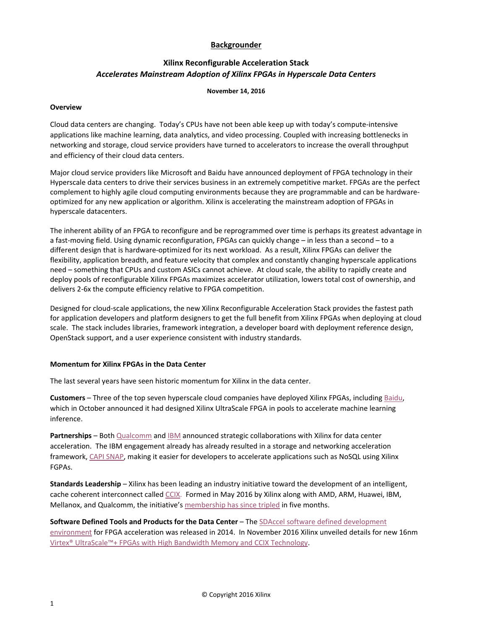# **Backgrounder**

# **Xilinx Reconfigurable Acceleration Stack** *Accelerates Mainstream Adoption of Xilinx FPGAs in Hyperscale Data Centers*

#### **November 14, 2016**

### **Overview**

Cloud data centers are changing. Today's CPUs have not been able keep up with today's compute‐intensive applications like machine learning, data analytics, and video processing. Coupled with increasing bottlenecks in networking and storage, cloud service providers have turned to accelerators to increase the overall throughput and efficiency of their cloud data centers.

Major cloud service providers like Microsoft and Baidu have announced deployment of FPGA technology in their Hyperscale data centers to drive their services business in an extremely competitive market. FPGAs are the perfect complement to highly agile cloud computing environments because they are programmable and can be hardware‐ optimized for any new application or algorithm. Xilinx is accelerating the mainstream adoption of FPGAs in hyperscale datacenters.

The inherent ability of an FPGA to reconfigure and be reprogrammed over time is perhaps its greatest advantage in a fast-moving field. Using dynamic reconfiguration, FPGAs can quickly change – in less than a second – to a different design that is hardware‐optimized for its next workload. As a result, Xilinx FPGAs can deliver the flexibility, application breadth, and feature velocity that complex and constantly changing hyperscale applications need – something that CPUs and custom ASICs cannot achieve. At cloud scale, the ability to rapidly create and deploy pools of reconfigurable Xilinx FPGAs maximizes accelerator utilization, lowers total cost of ownership, and delivers 2‐6x the compute efficiency relative to FPGA competition.

Designed for cloud‐scale applications, the new Xilinx Reconfigurable Acceleration Stack provides the fastest path for application developers and platform designers to get the full benefit from Xilinx FPGAs when deploying at cloud scale. The stack includes libraries, framework integration, a developer board with deployment reference design, OpenStack support, and a user experience consistent with industry standards.

#### **Momentum for Xilinx FPGAs in the Data Center**

The last several years have seen historic momentum for Xilinx in the data center.

**Customers** – Three of the top seven hyperscale cloud companies have deployed Xilinx FPGAs, including [Baidu](http://press.xilinx.com/2016-10-17-Baidu-Adopts-Xilinx-to-Accelerate-Machine-Learning-Applications-in-the-Data-Center), which in October announced it had designed Xilinx UltraScale FPGA in pools to accelerate machine learning inference.

**Partnerships** – Both [Qualcomm](http://press.xilinx.com/Qualcomm-and-Xilinx-Collaborate-to-Deliver-Industry-Leading-Heterogeneous-Computing-Solutions-for-Data-Centers-with-New-Levels-of-Efficiency-and-Performance) and [IBM](http://press.xilinx.com/2015-11-16-IBM-and-Xilinx-Announce-Strategic-Collaboration-to-Accelerate-Data-Center-Applications) announced strategic collaborations with Xilinx for data center acceleration. The IBM engagement already has already resulted in a storage and networking acceleration framework, CAPI [SNAP,](https://openpowerfoundation.org/blogs/openpower-makes-fpga-acceleration-snap/) making it easier for developers to accelerate applications such as NoSQL using Xilinx FGPAs.

**Standards Leadership** – Xilinx has been leading an industry initiative toward the development of an intelligent, cache coherent interconnect called [CCIX](http://press.xilinx.com/2016-05-23-Technology-Leaders-Join-Forces-to-Bring-an-Open-Acceleration-Framework-to-Data-Centers-and-Other-Markets). Formed in May 2016 by Xilinx along with AMD, ARM, Huawei, IBM, Mellanox, and Qualcomm, the initiative's [membership](http://press.xilinx.com/2016-10-11-CCIX-Consortium-Triples-Number-of-Member-Companies-and-Announces-Availability-of-Specification) has since tripled in five months.

**Software Defined Tools and Products for the Data Center** – The SDAccel software defined [development](http://press.xilinx.com/2014-11-17-Xilinx-Announces-SDAccel-Development-Environment-for-OpenCL-C-and-C-Delivering-Up-to-25X-Better-Performance-Watt-to-the-Data-Center) environment for FPGA acceleration was released in 2014. In November 2016 Xilinx unveiled details for new 16nm Virtex® [UltraScale™+](http://press.xilinx.com/2016-11-09-Xilinx-Unveils-Details-for-New-16nm-Virtex-UltraScale-FPGAs-with-High-Bandwidth-Memory-and-CCIX-Technology) FPGAs with High Bandwidth Memory and CCIX Technology.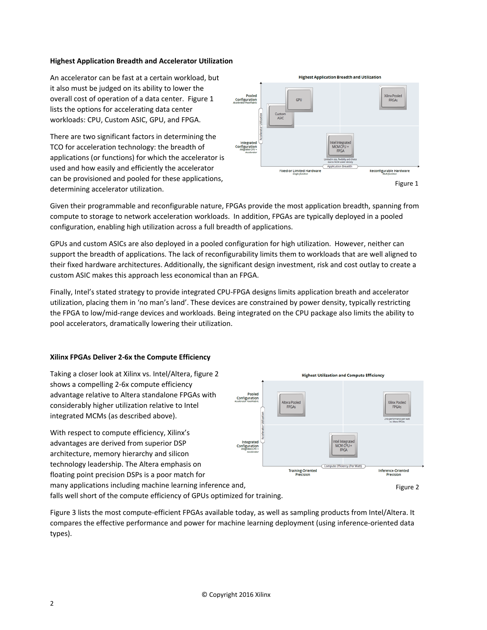# **Highest Application Breadth and Accelerator Utilization**

An accelerator can be fast at a certain workload, but it also must be judged on its ability to lower the overall cost of operation of a data center. Figure 1 lists the options for accelerating data center workloads: CPU, Custom ASIC, GPU, and FPGA.

There are two significant factors in determining the TCO for acceleration technology: the breadth of applications (or functions) for which the accelerator is used and how easily and efficiently the accelerator can be provisioned and pooled for these applications, determining accelerator utilization.



Given their programmable and reconfigurable nature, FPGAs provide the most application breadth, spanning from compute to storage to network acceleration workloads. In addition, FPGAs are typically deployed in a pooled configuration, enabling high utilization across a full breadth of applications.

GPUs and custom ASICs are also deployed in a pooled configuration for high utilization. However, neither can support the breadth of applications. The lack of reconfigurability limits them to workloads that are well aligned to their fixed hardware architectures. Additionally, the significant design investment, risk and cost outlay to create a custom ASIC makes this approach less economical than an FPGA.

Finally, Intel's stated strategy to provide integrated CPU-FPGA designs limits application breath and accelerator utilization, placing them in 'no man's land'. These devices are constrained by power density, typically restricting the FPGA to low/mid-range devices and workloads. Being integrated on the CPU package also limits the ability to pool accelerators, dramatically lowering their utilization.

#### **Xilinx FPGAs Deliver 2‐6x the Compute Efficiency**

Taking a closer look at Xilinx vs. Intel/Altera, figure 2 shows a compelling 2‐6x compute efficiency advantage relative to Altera standalone FPGAs with considerably higher utilization relative to Intel integrated MCMs (as described above).

With respect to compute efficiency, Xilinx's advantages are derived from superior DSP architecture, memory hierarchy and silicon technology leadership. The Altera emphasis on floating point precision DSPs is a poor match for many applications including machine learning inference and,



falls well short of the compute efficiency of GPUs optimized for training.

Figure 3 lists the most compute-efficient FPGAs available today, as well as sampling products from Intel/Altera. It compares the effective performance and power for machine learning deployment (using inference-oriented data types).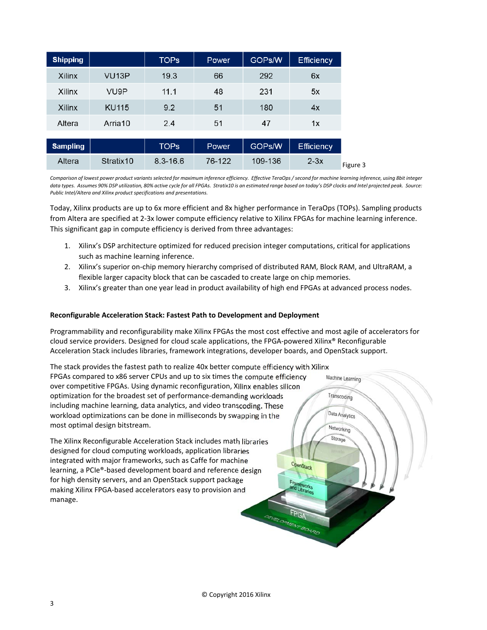| <b>Shipping</b> |                    | <b>TOPs</b>  | Power  | GOPs/W  | <b>Efficiency</b> |
|-----------------|--------------------|--------------|--------|---------|-------------------|
| Xilinx          | VU <sub>13</sub> P | 19.3         | 66     | 292     | 6x                |
| Xilinx          | VU <sub>9</sub> P  | 11.1         | 48     | 231     | 5x                |
| Xilinx          | <b>KU115</b>       | 9.2          | 51     | 180     | 4x                |
| Altera          | Arria10            | 2.4          | 51     | 47      | 1x                |
|                 |                    |              |        |         |                   |
| <b>Sampling</b> |                    | <b>TOPs</b>  | Power  | GOPs/W  | <b>Efficiency</b> |
| Altera          | Stratix10          | $8.3 - 16.6$ | 76-122 | 109-136 | $2-3x$            |

Comparison of lowest power product variants selected for maximum inference efficiency. Effective TeraOps / second for machine learning inference, using 8bit integer data types. Assumes 90% DSP utilization, 80% active cycle for all FPGAs. Stratix10 is an estimated range based on today's DSP clocks and Intel projected peak. Source: *Public Intel/Altera and Xilinx product specifications and presentations.*

Today, Xilinx products are up to 6x more efficient and 8x higher performance in TeraOps (TOPs). Sampling products from Altera are specified at 2‐3x lower compute efficiency relative to Xilinx FPGAs for machine learning inference. This significant gap in compute efficiency is derived from three advantages:

- 1. Xilinx's DSP architecture optimized for reduced precision integer computations, critical for applications such as machine learning inference.
- 2. Xilinx's superior on-chip memory hierarchy comprised of distributed RAM, Block RAM, and UltraRAM, a flexible larger capacity block that can be cascaded to create large on chip memories.
- 3. Xilinx's greater than one year lead in product availability of high end FPGAs at advanced process nodes.

# **Reconfigurable Acceleration Stack: Fastest Path to Development and Deployment**

Programmability and reconfigurability make Xilinx FPGAs the most cost effective and most agile of accelerators for cloud service providers. Designed for cloud scale applications, the FPGA‐powered Xilinx® Reconfigurable Acceleration Stack includes libraries, framework integrations, developer boards, and OpenStack support.

The stack provides the fastest path to realize 40x better compute efficiency with Xilinx FPGAs compared to x86 server CPUs and up to six times the compute efficiency Machine Learning over competitive FPGAs. Using dynamic reconfiguration, Xilinx enables silicon optimization for the broadest set of performance‐demanding workloads Transcoding including machine learning, data analytics, and video transcoding. These Data Analytics workload optimizations can be done in milliseconds by swapping in the most optimal design bitstream. Networking Storage The Xilinx Reconfigurable Acceleration Stack includes math libraries designed for cloud computing workloads, application libraries integrated with major frameworks, such as Caffe for machine OpenStack learning, a PCIe®‐based development board and reference design for high density servers, and an OpenStack support package d<br>I Libraris making Xilinx FPGA‐based accelerators easy to provision and manage. **EPGA** FOGA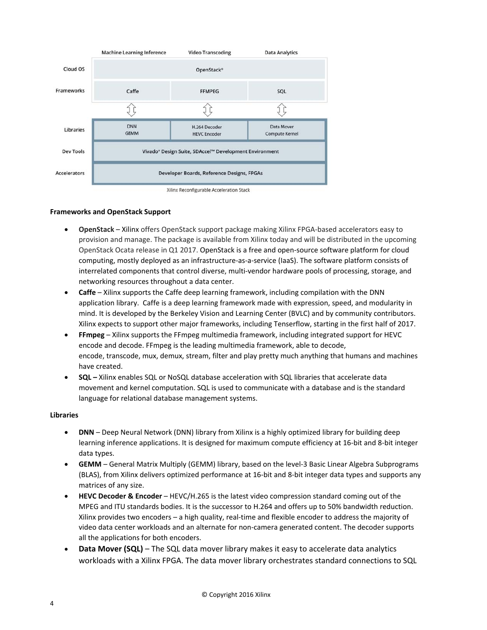

Xilinx Reconfigurable Acceleration Stack

# **Frameworks and OpenStack Support**

- **OpenStack** Xilinx offers OpenStack support package making Xilinx FPGA‐based accelerators easy to provision and manage. The package is available from Xilinx today and will be distributed in the upcoming OpenStack Ocata release in Q1 2017. OpenStack is a free and open‐source software platform for cloud computing, mostly deployed as an infrastructure‐as‐a‐service (IaaS). The software platform consists of interrelated components that control diverse, multi‐vendor hardware pools of processing, storage, and networking resources throughout a data center.
- **Caffe** Xilinx supports the Caffe deep learning framework, including compilation with the DNN application library. Caffe is a deep learning framework made with expression, speed, and modularity in mind. It is developed by the Berkeley Vision and Learning Center (BVLC) and by community contributors. Xilinx expects to support other major frameworks, including Tenserflow, starting in the first half of 2017.
- **FFmpeg** Xilinx supports the FFmpeg multimedia framework, including integrated support for HEVC encode and decode. FFmpeg is the leading multimedia framework, able to decode, encode, transcode, mux, demux, stream, filter and play pretty much anything that humans and machines have created.
- **SQL –** Xilinx enables SQL or NoSQL database acceleration with SQL libraries that accelerate data movement and kernel computation. SQL is used to communicate with a database and is the standard language for relational database management systems.

# **Libraries**

- **DNN** Deep Neural Network (DNN) library from Xilinx is a highly optimized library for building deep learning inference applications. It is designed for maximum compute efficiency at 16‐bit and 8‐bit integer data types.
- **GEMM** General Matrix Multiply (GEMM) library, based on the level‐3 Basic Linear Algebra Subprograms (BLAS), from Xilinx delivers optimized performance at 16‐bit and 8‐bit integer data types and supports any matrices of any size.
- **HEVC Decoder & Encoder** HEVC/H.265 is the latest video compression standard coming out of the MPEG and ITU standards bodies. It is the successor to H.264 and offers up to 50% bandwidth reduction. Xilinx provides two encoders – a high quality, real‐time and flexible encoder to address the majority of video data center workloads and an alternate for non‐camera generated content. The decoder supports all the applications for both encoders.
- **Data Mover (SQL)** The SQL data mover library makes it easy to accelerate data analytics workloads with a Xilinx FPGA. The data mover library orchestrates standard connections to SQL